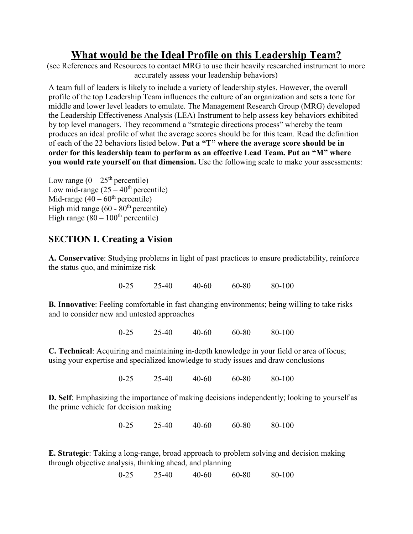# **What would be the Ideal Profile on this Leadership Team?**

(see References and Resources to contact MRG to use their heavily researched instrument to more accurately assess your leadership behaviors)

A team full of leaders is likely to include a variety of leadership styles. However, the overall profile of the top Leadership Team influences the culture of an organization and sets a tone for middle and lower level leaders to emulate. The Management Research Group (MRG) developed the Leadership Effectiveness Analysis (LEA) Instrument to help assess key behaviors exhibited by top level managers. They recommend a "strategic directions process" whereby the team produces an ideal profile of what the average scores should be for this team. Read the definition of each of the 22 behaviors listed below. **Put a "T" where the average score should be in order for this leadership team to perform as an effective Lead Team. Put an "M" where you would rate yourself on that dimension.** Use the following scale to make your assessments:

Low range  $(0 - 25<sup>th</sup>$  percentile) Low mid-range  $(25 - 40^{\text{th}})$  percentile) Mid-range  $(40 - 60<sup>th</sup>$  percentile) High mid range (60 - 80<sup>th</sup> percentile) High range  $(80 - 100<sup>th</sup>$  percentile)

# **SECTION I. Creating a Vision**

**A. Conservative**: Studying problems in light of past practices to ensure predictability, reinforce the status quo, and minimize risk

0-25 25-40 40-60 60-80 80-100

**B. Innovative**: Feeling comfortable in fast changing environments; being willing to take risks and to consider new and untested approaches

0-25 25-40 40-60 60-80 80-100

**C. Technical**: Acquiring and maintaining in-depth knowledge in your field or area offocus; using your expertise and specialized knowledge to study issues and draw conclusions

0-25 25-40 40-60 60-80 80-100

**D. Self**: Emphasizing the importance of making decisions independently; looking to yourself as the prime vehicle for decision making

0-25 25-40 40-60 60-80 80-100

**E. Strategic**: Taking a long-range, broad approach to problem solving and decision making through objective analysis, thinking ahead, and planning

0-25 25-40 40-60 60-80 80-100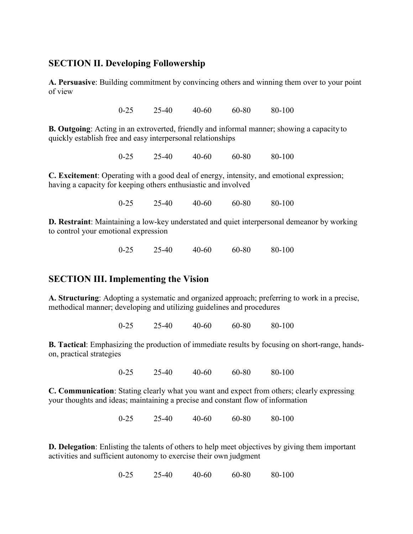#### **SECTION II. Developing Followership**

**A. Persuasive**: Building commitment by convincing others and winning them over to your point of view

0-25 25-40 40-60 60-80 80-100

**B. Outgoing**: Acting in an extroverted, friendly and informal manner; showing a capacity to quickly establish free and easy interpersonal relationships

0-25 25-40 40-60 60-80 80-100

**C. Excitement**: Operating with a good deal of energy, intensity, and emotional expression; having a capacity for keeping others enthusiastic and involved

0-25 25-40 40-60 60-80 80-100

**D. Restraint**: Maintaining a low-key understated and quiet interpersonal demeanor by working to control your emotional expression

0-25 25-40 40-60 60-80 80-100

## **SECTION III. Implementing the Vision**

**A. Structuring**: Adopting a systematic and organized approach; preferring to work in a precise, methodical manner; developing and utilizing guidelines and procedures

0-25 25-40 40-60 60-80 80-100

**B. Tactical**: Emphasizing the production of immediate results by focusing on short-range, handson, practical strategies

0-25 25-40 40-60 60-80 80-100

**C. Communication**: Stating clearly what you want and expect from others; clearly expressing your thoughts and ideas; maintaining a precise and constant flow of information

0-25 25-40 40-60 60-80 80-100

**D. Delegation**: Enlisting the talents of others to help meet objectives by giving them important activities and sufficient autonomy to exercise their own judgment

0-25 25-40 40-60 60-80 80-100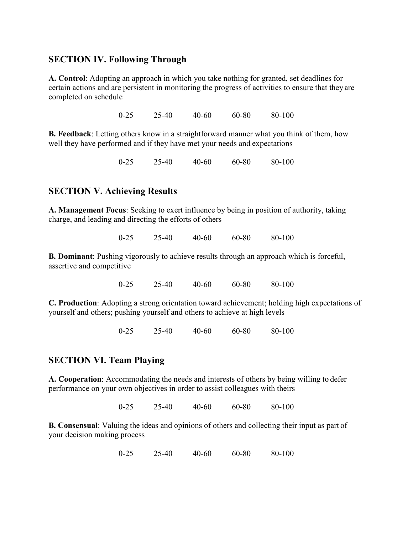## **SECTION IV. Following Through**

**A. Control**: Adopting an approach in which you take nothing for granted, set deadlines for certain actions and are persistent in monitoring the progress of activities to ensure that they are completed on schedule

0-25 25-40 40-60 60-80 80-100

**B. Feedback**: Letting others know in a straightforward manner what you think of them, how well they have performed and if they have met your needs and expectations

0-25 25-40 40-60 60-80 80-100

#### **SECTION V. Achieving Results**

**A. Management Focus**: Seeking to exert influence by being in position of authority, taking charge, and leading and directing the efforts of others

0-25 25-40 40-60 60-80 80-100

**B. Dominant**: Pushing vigorously to achieve results through an approach which is forceful, assertive and competitive

0-25 25-40 40-60 60-80 80-100

**C. Production**: Adopting a strong orientation toward achievement; holding high expectations of yourself and others; pushing yourself and others to achieve at high levels

0-25 25-40 40-60 60-80 80-100

#### **SECTION VI. Team Playing**

**A. Cooperation**: Accommodating the needs and interests of others by being willing to defer performance on your own objectives in order to assist colleagues with theirs

0-25 25-40 40-60 60-80 80-100

**B. Consensual**: Valuing the ideas and opinions of others and collecting their input as part of your decision making process

0-25 25-40 40-60 60-80 80-100